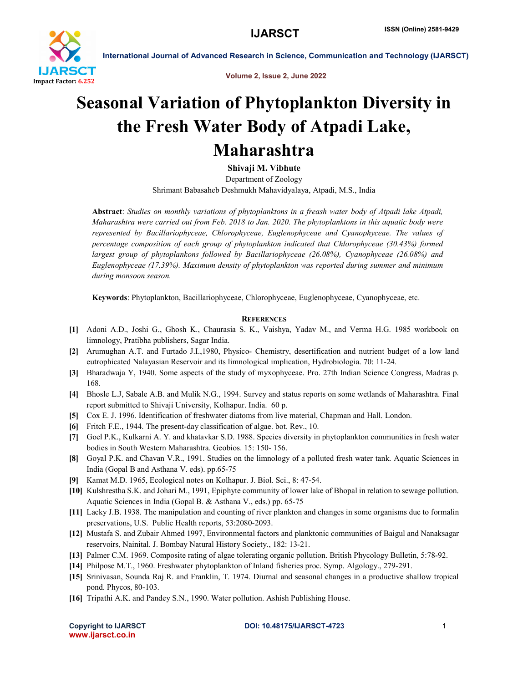

International Journal of Advanced Research in Science, Communication and Technology (IJARSCT)

Volume 2, Issue 2, June 2022

## Seasonal Variation of Phytoplankton Diversity in the Fresh Water Body of Atpadi Lake, Maharashtra

Shivaji M. Vibhute

Department of Zoology Shrimant Babasaheb Deshmukh Mahavidyalaya, Atpadi, M.S., India

Abstract: *Studies on monthly variations of phytoplanktons in a freash water body of Atpadi lake Atpadi, Maharashtra were carried out from Feb. 2018 to Jan. 2020. The phytoplanktons in this aquatic body were represented by Bacillariophyceae, Chlorophyceae, Euglenophyceae and Cyanophyceae. The values of percentage composition of each group of phytoplankton indicated that Chlorophyceae (30.43%) formed largest group of phytoplankons followed by Bacillariophyceae (26.08%), Cyanophyceae (26.08%) and Euglenophyceae (17.39%). Maximum density of phytoplankton was reported during summer and minimum during monsoon season.* 

Keywords: Phytoplankton, Bacillariophyceae, Chlorophyceae, Euglenophyceae, Cyanophyceae, etc.

## **REFERENCES**

- [1] Adoni A.D., Joshi G., Ghosh K., Chaurasia S. K., Vaishya, Yadav M., and Verma H.G. 1985 workbook on limnology, Pratibha publishers, Sagar India.
- [2] Arumughan A.T. and Furtado J.I.,1980, Physico- Chemistry, desertification and nutrient budget of a low land eutrophicated Nalayasian Reservoir and its limnological implication, Hydrobiologia. 70: 11-24.
- [3] Bharadwaja Y, 1940. Some aspects of the study of myxophyceae. Pro. 27th Indian Science Congress, Madras p. 168.
- [4] Bhosle L.J, Sabale A.B. and Mulik N.G., 1994. Survey and status reports on some wetlands of Maharashtra. Final report submitted to Shivaji University, Kolhapur. India. 60 p.
- [5] Cox E. J. 1996. Identification of freshwater diatoms from live material, Chapman and Hall. London.
- [6] Fritch F.E., 1944. The present-day classification of algae. bot. Rev., 10.
- [7] Goel P.K., Kulkarni A. Y. and khatavkar S.D. 1988. Species diversity in phytoplankton communities in fresh water bodies in South Western Maharashtra. Geobios. 15: 150- 156.
- [8] Goyal P.K. and Chavan V.R., 1991. Studies on the limnology of a polluted fresh water tank. Aquatic Sciences in India (Gopal B and Asthana V. eds). pp.65-75
- [9] Kamat M.D. 1965, Ecological notes on Kolhapur. J. Biol. Sci., 8: 47-54.
- [10] Kulshrestha S.K. and Johari M., 1991, Epiphyte community of lower lake of Bhopal in relation to sewage pollution. Aquatic Sciences in India (Gopal B. & Asthana V., eds.) pp. 65-75
- [11] Lacky J.B. 1938. The manipulation and counting of river plankton and changes in some organisms due to formalin preservations, U.S. Public Health reports, 53:2080-2093.
- [12] Mustafa S. and Zubair Ahmed 1997, Environmental factors and planktonic communities of Baigul and Nanaksagar reservoirs, Nainital. J. Bombay Natural History Society., 182: 13-21.
- [13] Palmer C.M. 1969. Composite rating of algae tolerating organic pollution. British Phycology Bulletin, 5:78-92.
- [14] Philpose M.T., 1960. Freshwater phytoplankton of Inland fisheries proc. Symp. Algology., 279-291.
- [15] Srinivasan, Sounda Raj R. and Franklin, T. 1974. Diurnal and seasonal changes in a productive shallow tropical pond. Phycos, 80-103.
- [16] Tripathi A.K. and Pandey S.N., 1990. Water pollution. Ashish Publishing House.